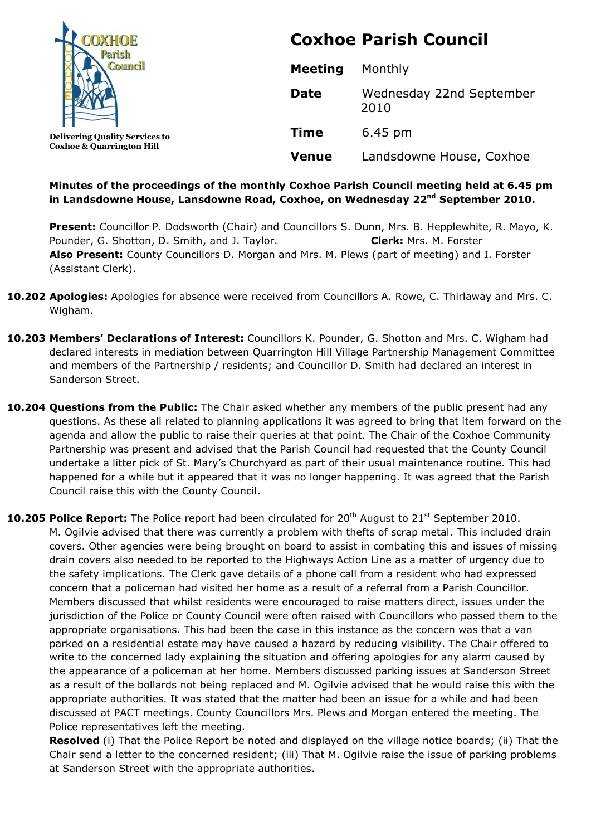

**Delivering Quality Services to Coxhoe & Quarrington Hill**

# **Coxhoe Parish Council**

| <b>Meeting</b> | Monthly                          |
|----------------|----------------------------------|
| Date           | Wednesday 22nd September<br>2010 |
| <b>Time</b>    | $6.45 \text{ pm}$                |
| Venue          | Landsdowne House, Coxhoe         |

# **Minutes of the proceedings of the monthly Coxhoe Parish Council meeting held at 6.45 pm in Landsdowne House, Lansdowne Road, Coxhoe, on Wednesday 22 nd September 2010.**

**Present:** Councillor P. Dodsworth (Chair) and Councillors S. Dunn, Mrs. B. Hepplewhite, R. Mayo, K. Pounder, G. Shotton, D. Smith, and J. Taylor. **Clerk:** Mrs. M. Forster **Also Present:** County Councillors D. Morgan and Mrs. M. Plews (part of meeting) and I. Forster (Assistant Clerk).

- **10.202 Apologies:** Apologies for absence were received from Councillors A. Rowe, C. Thirlaway and Mrs. C. Wigham.
- **10.203 Members' Declarations of Interest:** Councillors K. Pounder, G. Shotton and Mrs. C. Wigham had declared interests in mediation between Quarrington Hill Village Partnership Management Committee and members of the Partnership / residents; and Councillor D. Smith had declared an interest in Sanderson Street.
- **10.204 Questions from the Public:** The Chair asked whether any members of the public present had any questions. As these all related to planning applications it was agreed to bring that item forward on the agenda and allow the public to raise their queries at that point. The Chair of the Coxhoe Community Partnership was present and advised that the Parish Council had requested that the County Council undertake a litter pick of St. Mary's Churchyard as part of their usual maintenance routine. This had happened for a while but it appeared that it was no longer happening. It was agreed that the Parish Council raise this with the County Council.

**10.205 Police Report:** The Police report had been circulated for 20<sup>th</sup> August to 21<sup>st</sup> September 2010. M. Ogilvie advised that there was currently a problem with thefts of scrap metal. This included drain covers. Other agencies were being brought on board to assist in combating this and issues of missing drain covers also needed to be reported to the Highways Action Line as a matter of urgency due to the safety implications. The Clerk gave details of a phone call from a resident who had expressed concern that a policeman had visited her home as a result of a referral from a Parish Councillor. Members discussed that whilst residents were encouraged to raise matters direct, issues under the jurisdiction of the Police or County Council were often raised with Councillors who passed them to the appropriate organisations. This had been the case in this instance as the concern was that a van parked on a residential estate may have caused a hazard by reducing visibility. The Chair offered to write to the concerned lady explaining the situation and offering apologies for any alarm caused by the appearance of a policeman at her home. Members discussed parking issues at Sanderson Street as a result of the bollards not being replaced and M. Ogilvie advised that he would raise this with the appropriate authorities. It was stated that the matter had been an issue for a while and had been discussed at PACT meetings. County Councillors Mrs. Plews and Morgan entered the meeting. The Police representatives left the meeting.

**Resolved** (i) That the Police Report be noted and displayed on the village notice boards; (ii) That the Chair send a letter to the concerned resident; (iii) That M. Ogilvie raise the issue of parking problems at Sanderson Street with the appropriate authorities.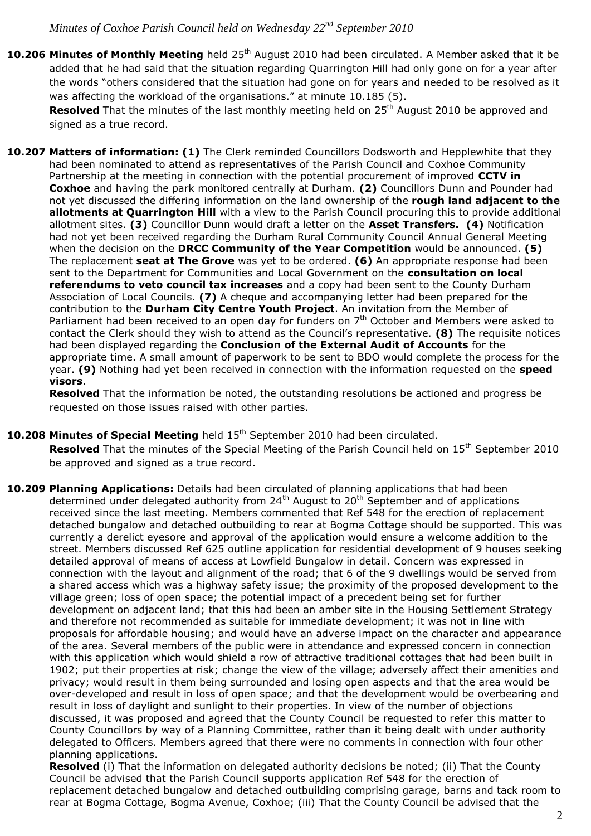10.206 Minutes of Monthly Meeting held 25<sup>th</sup> August 2010 had been circulated. A Member asked that it be added that he had said that the situation regarding Quarrington Hill had only gone on for a year after the words "others considered that the situation had gone on for years and needed to be resolved as it was affecting the workload of the organisations." at minute 10.185 (5).

Resolved That the minutes of the last monthly meeting held on 25<sup>th</sup> August 2010 be approved and signed as a true record.

**10.207 Matters of information: (1)** The Clerk reminded Councillors Dodsworth and Hepplewhite that they had been nominated to attend as representatives of the Parish Council and Coxhoe Community Partnership at the meeting in connection with the potential procurement of improved **CCTV in Coxhoe** and having the park monitored centrally at Durham. **(2)** Councillors Dunn and Pounder had not yet discussed the differing information on the land ownership of the **rough land adjacent to the allotments at Quarrington Hill** with a view to the Parish Council procuring this to provide additional allotment sites. **(3)** Councillor Dunn would draft a letter on the **Asset Transfers. (4)** Notification had not yet been received regarding the Durham Rural Community Council Annual General Meeting when the decision on the **DRCC Community of the Year Competition** would be announced. **(5)**  The replacement **seat at The Grove** was yet to be ordered. **(6)** An appropriate response had been sent to the Department for Communities and Local Government on the **consultation on local referendums to veto council tax increases** and a copy had been sent to the County Durham Association of Local Councils. **(7)** A cheque and accompanying letter had been prepared for the contribution to the **Durham City Centre Youth Project**. An invitation from the Member of Parliament had been received to an open day for funders on 7<sup>th</sup> October and Members were asked to contact the Clerk should they wish to attend as the Council's representative. **(8)** The requisite notices had been displayed regarding the **Conclusion of the External Audit of Accounts** for the appropriate time. A small amount of paperwork to be sent to BDO would complete the process for the year. **(9)** Nothing had yet been received in connection with the information requested on the **speed visors**.

**Resolved** That the information be noted, the outstanding resolutions be actioned and progress be requested on those issues raised with other parties.

**10.208 Minutes of Special Meeting** held 15th September 2010 had been circulated.

**Resolved** That the minutes of the Special Meeting of the Parish Council held on 15<sup>th</sup> September 2010 be approved and signed as a true record.

**10.209 Planning Applications:** Details had been circulated of planning applications that had been determined under delegated authority from 24<sup>th</sup> August to 20<sup>th</sup> September and of applications received since the last meeting. Members commented that Ref 548 for the erection of replacement detached bungalow and detached outbuilding to rear at Bogma Cottage should be supported. This was currently a derelict eyesore and approval of the application would ensure a welcome addition to the street. Members discussed Ref 625 outline application for residential development of 9 houses seeking detailed approval of means of access at Lowfield Bungalow in detail. Concern was expressed in connection with the layout and alignment of the road; that 6 of the 9 dwellings would be served from a shared access which was a highway safety issue; the proximity of the proposed development to the village green; loss of open space; the potential impact of a precedent being set for further development on adjacent land; that this had been an amber site in the Housing Settlement Strategy and therefore not recommended as suitable for immediate development; it was not in line with proposals for affordable housing; and would have an adverse impact on the character and appearance of the area. Several members of the public were in attendance and expressed concern in connection with this application which would shield a row of attractive traditional cottages that had been built in 1902; put their properties at risk; change the view of the village; adversely affect their amenities and privacy; would result in them being surrounded and losing open aspects and that the area would be over-developed and result in loss of open space; and that the development would be overbearing and result in loss of daylight and sunlight to their properties. In view of the number of objections discussed, it was proposed and agreed that the County Council be requested to refer this matter to County Councillors by way of a Planning Committee, rather than it being dealt with under authority delegated to Officers. Members agreed that there were no comments in connection with four other planning applications.

**Resolved** (i) That the information on delegated authority decisions be noted; (ii) That the County Council be advised that the Parish Council supports application Ref 548 for the erection of replacement detached bungalow and detached outbuilding comprising garage, barns and tack room to rear at Bogma Cottage, Bogma Avenue, Coxhoe; (iii) That the County Council be advised that the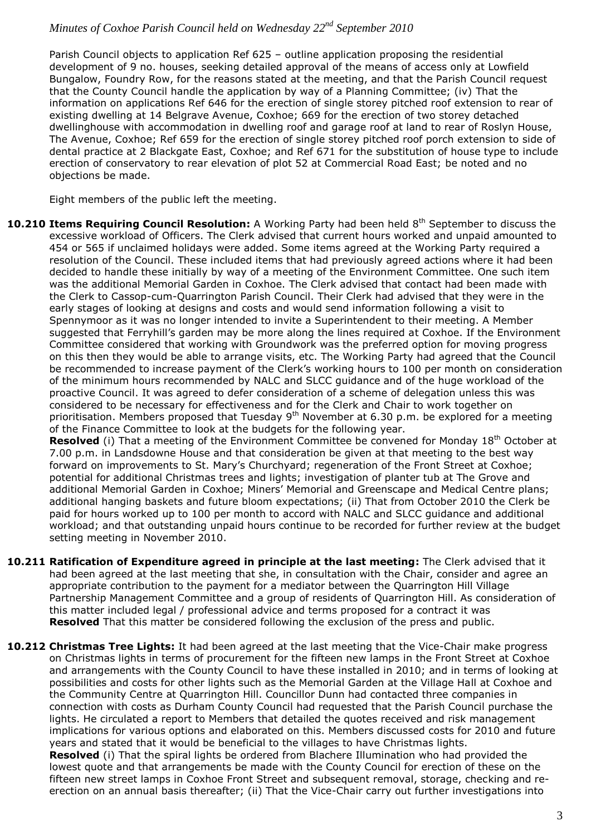Parish Council objects to application Ref 625 – outline application proposing the residential development of 9 no. houses, seeking detailed approval of the means of access only at Lowfield Bungalow, Foundry Row, for the reasons stated at the meeting, and that the Parish Council request that the County Council handle the application by way of a Planning Committee; (iv) That the information on applications Ref 646 for the erection of single storey pitched roof extension to rear of existing dwelling at 14 Belgrave Avenue, Coxhoe; 669 for the erection of two storey detached dwellinghouse with accommodation in dwelling roof and garage roof at land to rear of Roslyn House, The Avenue, Coxhoe; Ref 659 for the erection of single storey pitched roof porch extension to side of dental practice at 2 Blackgate East, Coxhoe; and Ref 671 for the substitution of house type to include erection of conservatory to rear elevation of plot 52 at Commercial Road East; be noted and no objections be made.

Eight members of the public left the meeting.

**10.210 Items Requiring Council Resolution:** A Working Party had been held 8<sup>th</sup> September to discuss the excessive workload of Officers. The Clerk advised that current hours worked and unpaid amounted to 454 or 565 if unclaimed holidays were added. Some items agreed at the Working Party required a resolution of the Council. These included items that had previously agreed actions where it had been decided to handle these initially by way of a meeting of the Environment Committee. One such item was the additional Memorial Garden in Coxhoe. The Clerk advised that contact had been made with the Clerk to Cassop-cum-Quarrington Parish Council. Their Clerk had advised that they were in the early stages of looking at designs and costs and would send information following a visit to Spennymoor as it was no longer intended to invite a Superintendent to their meeting. A Member suggested that Ferryhill's garden may be more along the lines required at Coxhoe. If the Environment Committee considered that working with Groundwork was the preferred option for moving progress on this then they would be able to arrange visits, etc. The Working Party had agreed that the Council be recommended to increase payment of the Clerk's working hours to 100 per month on consideration of the minimum hours recommended by NALC and SLCC guidance and of the huge workload of the proactive Council. It was agreed to defer consideration of a scheme of delegation unless this was considered to be necessary for effectiveness and for the Clerk and Chair to work together on prioritisation. Members proposed that Tuesday  $9<sup>th</sup>$  November at 6.30 p.m. be explored for a meeting of the Finance Committee to look at the budgets for the following year.

**Resolved** (i) That a meeting of the Environment Committee be convened for Monday 18<sup>th</sup> October at 7.00 p.m. in Landsdowne House and that consideration be given at that meeting to the best way forward on improvements to St. Mary's Churchyard; regeneration of the Front Street at Coxhoe; potential for additional Christmas trees and lights; investigation of planter tub at The Grove and additional Memorial Garden in Coxhoe; Miners' Memorial and Greenscape and Medical Centre plans; additional hanging baskets and future bloom expectations; (ii) That from October 2010 the Clerk be paid for hours worked up to 100 per month to accord with NALC and SLCC guidance and additional workload; and that outstanding unpaid hours continue to be recorded for further review at the budget setting meeting in November 2010.

- **10.211 Ratification of Expenditure agreed in principle at the last meeting:** The Clerk advised that it had been agreed at the last meeting that she, in consultation with the Chair, consider and agree an appropriate contribution to the payment for a mediator between the Quarrington Hill Village Partnership Management Committee and a group of residents of Quarrington Hill. As consideration of this matter included legal / professional advice and terms proposed for a contract it was **Resolved** That this matter be considered following the exclusion of the press and public.
- **10.212 Christmas Tree Lights:** It had been agreed at the last meeting that the Vice-Chair make progress on Christmas lights in terms of procurement for the fifteen new lamps in the Front Street at Coxhoe and arrangements with the County Council to have these installed in 2010; and in terms of looking at possibilities and costs for other lights such as the Memorial Garden at the Village Hall at Coxhoe and the Community Centre at Quarrington Hill. Councillor Dunn had contacted three companies in connection with costs as Durham County Council had requested that the Parish Council purchase the lights. He circulated a report to Members that detailed the quotes received and risk management implications for various options and elaborated on this. Members discussed costs for 2010 and future years and stated that it would be beneficial to the villages to have Christmas lights. **Resolved** (i) That the spiral lights be ordered from Blachere Illumination who had provided the lowest quote and that arrangements be made with the County Council for erection of these on the

fifteen new street lamps in Coxhoe Front Street and subsequent removal, storage, checking and reerection on an annual basis thereafter; (ii) That the Vice-Chair carry out further investigations into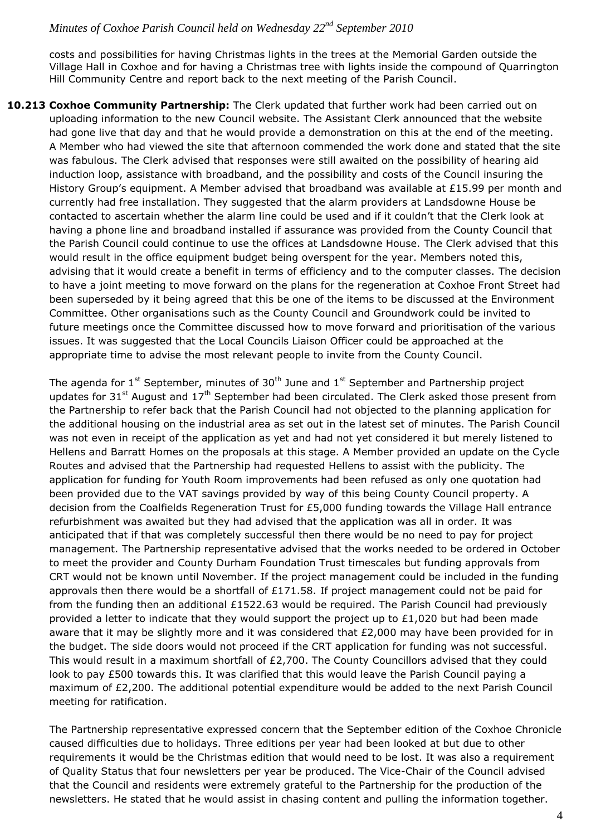costs and possibilities for having Christmas lights in the trees at the Memorial Garden outside the Village Hall in Coxhoe and for having a Christmas tree with lights inside the compound of Quarrington Hill Community Centre and report back to the next meeting of the Parish Council.

**10.213 Coxhoe Community Partnership:** The Clerk updated that further work had been carried out on uploading information to the new Council website. The Assistant Clerk announced that the website had gone live that day and that he would provide a demonstration on this at the end of the meeting. A Member who had viewed the site that afternoon commended the work done and stated that the site was fabulous. The Clerk advised that responses were still awaited on the possibility of hearing aid induction loop, assistance with broadband, and the possibility and costs of the Council insuring the History Group's equipment. A Member advised that broadband was available at £15.99 per month and currently had free installation. They suggested that the alarm providers at Landsdowne House be contacted to ascertain whether the alarm line could be used and if it couldn't that the Clerk look at having a phone line and broadband installed if assurance was provided from the County Council that the Parish Council could continue to use the offices at Landsdowne House. The Clerk advised that this would result in the office equipment budget being overspent for the year. Members noted this, advising that it would create a benefit in terms of efficiency and to the computer classes. The decision to have a joint meeting to move forward on the plans for the regeneration at Coxhoe Front Street had been superseded by it being agreed that this be one of the items to be discussed at the Environment Committee. Other organisations such as the County Council and Groundwork could be invited to future meetings once the Committee discussed how to move forward and prioritisation of the various issues. It was suggested that the Local Councils Liaison Officer could be approached at the appropriate time to advise the most relevant people to invite from the County Council.

The agenda for  $1^{st}$  September, minutes of  $30^{th}$  June and  $1^{st}$  September and Partnership project updates for 31<sup>st</sup> August and 17<sup>th</sup> September had been circulated. The Clerk asked those present from the Partnership to refer back that the Parish Council had not objected to the planning application for the additional housing on the industrial area as set out in the latest set of minutes. The Parish Council was not even in receipt of the application as yet and had not yet considered it but merely listened to Hellens and Barratt Homes on the proposals at this stage. A Member provided an update on the Cycle Routes and advised that the Partnership had requested Hellens to assist with the publicity. The application for funding for Youth Room improvements had been refused as only one quotation had been provided due to the VAT savings provided by way of this being County Council property. A decision from the Coalfields Regeneration Trust for £5,000 funding towards the Village Hall entrance refurbishment was awaited but they had advised that the application was all in order. It was anticipated that if that was completely successful then there would be no need to pay for project management. The Partnership representative advised that the works needed to be ordered in October to meet the provider and County Durham Foundation Trust timescales but funding approvals from CRT would not be known until November. If the project management could be included in the funding approvals then there would be a shortfall of  $£171.58$ . If project management could not be paid for from the funding then an additional £1522.63 would be required. The Parish Council had previously provided a letter to indicate that they would support the project up to  $£1,020$  but had been made aware that it may be slightly more and it was considered that  $£2,000$  may have been provided for in the budget. The side doors would not proceed if the CRT application for funding was not successful. This would result in a maximum shortfall of £2,700. The County Councillors advised that they could look to pay £500 towards this. It was clarified that this would leave the Parish Council paying a maximum of £2,200. The additional potential expenditure would be added to the next Parish Council meeting for ratification.

The Partnership representative expressed concern that the September edition of the Coxhoe Chronicle caused difficulties due to holidays. Three editions per year had been looked at but due to other requirements it would be the Christmas edition that would need to be lost. It was also a requirement of Quality Status that four newsletters per year be produced. The Vice-Chair of the Council advised that the Council and residents were extremely grateful to the Partnership for the production of the newsletters. He stated that he would assist in chasing content and pulling the information together.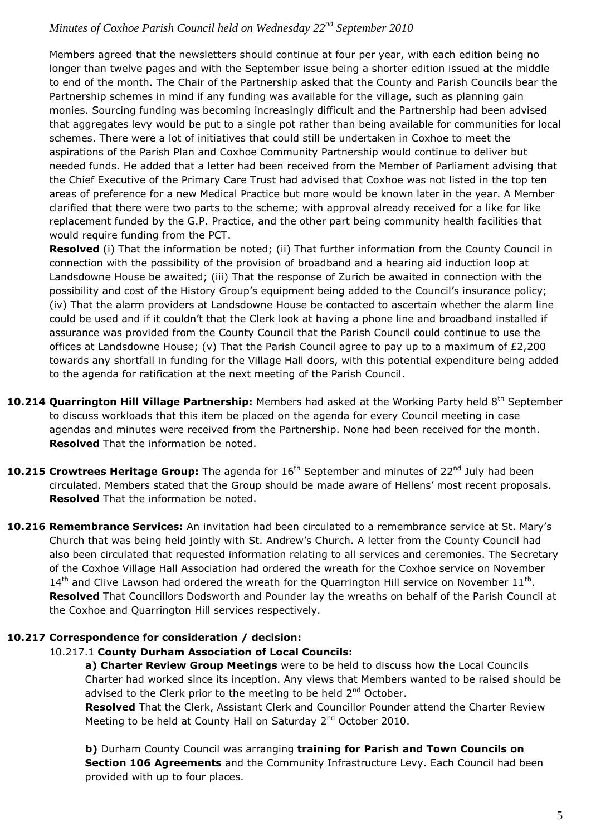Members agreed that the newsletters should continue at four per year, with each edition being no longer than twelve pages and with the September issue being a shorter edition issued at the middle to end of the month. The Chair of the Partnership asked that the County and Parish Councils bear the Partnership schemes in mind if any funding was available for the village, such as planning gain monies. Sourcing funding was becoming increasingly difficult and the Partnership had been advised that aggregates levy would be put to a single pot rather than being available for communities for local schemes. There were a lot of initiatives that could still be undertaken in Coxhoe to meet the aspirations of the Parish Plan and Coxhoe Community Partnership would continue to deliver but needed funds. He added that a letter had been received from the Member of Parliament advising that the Chief Executive of the Primary Care Trust had advised that Coxhoe was not listed in the top ten areas of preference for a new Medical Practice but more would be known later in the year. A Member clarified that there were two parts to the scheme; with approval already received for a like for like replacement funded by the G.P. Practice, and the other part being community health facilities that would require funding from the PCT.

**Resolved** (i) That the information be noted; (ii) That further information from the County Council in connection with the possibility of the provision of broadband and a hearing aid induction loop at Landsdowne House be awaited; (iii) That the response of Zurich be awaited in connection with the possibility and cost of the History Group's equipment being added to the Council's insurance policy; (iv) That the alarm providers at Landsdowne House be contacted to ascertain whether the alarm line could be used and if it couldn't that the Clerk look at having a phone line and broadband installed if assurance was provided from the County Council that the Parish Council could continue to use the offices at Landsdowne House; (v) That the Parish Council agree to pay up to a maximum of £2,200 towards any shortfall in funding for the Village Hall doors, with this potential expenditure being added to the agenda for ratification at the next meeting of the Parish Council.

- **10.214 Quarrington Hill Village Partnership:** Members had asked at the Working Party held 8<sup>th</sup> September to discuss workloads that this item be placed on the agenda for every Council meeting in case agendas and minutes were received from the Partnership. None had been received for the month. **Resolved** That the information be noted.
- **10.215 Crowtrees Heritage Group:** The agenda for 16<sup>th</sup> September and minutes of 22<sup>nd</sup> July had been circulated. Members stated that the Group should be made aware of Hellens' most recent proposals. **Resolved** That the information be noted.
- **10.216 Remembrance Services:** An invitation had been circulated to a remembrance service at St. Mary's Church that was being held jointly with St. Andrew's Church. A letter from the County Council had also been circulated that requested information relating to all services and ceremonies. The Secretary of the Coxhoe Village Hall Association had ordered the wreath for the Coxhoe service on November  $14<sup>th</sup>$  and Clive Lawson had ordered the wreath for the Quarrington Hill service on November  $11<sup>th</sup>$ . **Resolved** That Councillors Dodsworth and Pounder lay the wreaths on behalf of the Parish Council at the Coxhoe and Quarrington Hill services respectively.

## **10.217 Correspondence for consideration / decision:**

### 10.217.1 **County Durham Association of Local Councils:**

**a) Charter Review Group Meetings** were to be held to discuss how the Local Councils Charter had worked since its inception. Any views that Members wanted to be raised should be advised to the Clerk prior to the meeting to be held  $2<sup>nd</sup>$  October.

**Resolved** That the Clerk, Assistant Clerk and Councillor Pounder attend the Charter Review Meeting to be held at County Hall on Saturday 2<sup>nd</sup> October 2010.

**b)** Durham County Council was arranging **training for Parish and Town Councils on Section 106 Agreements** and the Community Infrastructure Levy. Each Council had been provided with up to four places.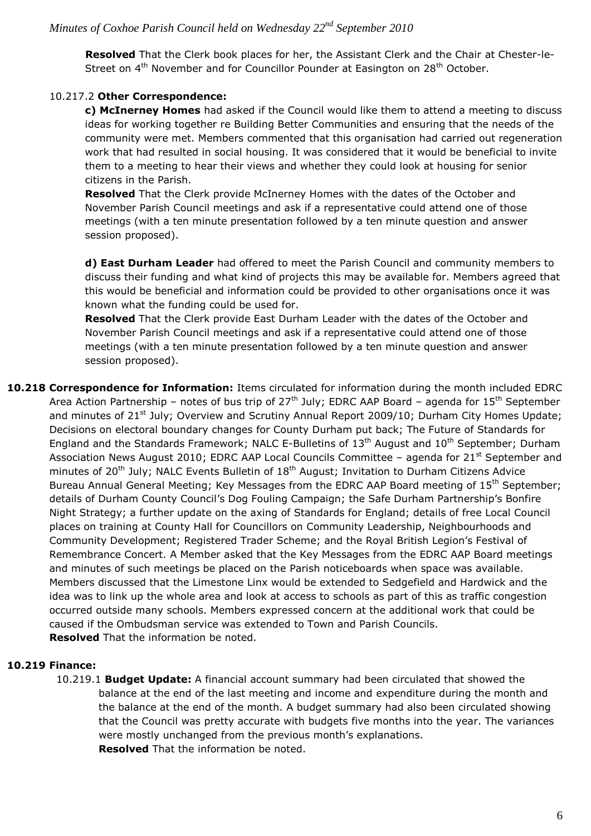**Resolved** That the Clerk book places for her, the Assistant Clerk and the Chair at Chester-le-Street on  $4<sup>th</sup>$  November and for Councillor Pounder at Easington on 28<sup>th</sup> October.

## 10.217.2 **Other Correspondence:**

**c) McInerney Homes** had asked if the Council would like them to attend a meeting to discuss ideas for working together re Building Better Communities and ensuring that the needs of the community were met. Members commented that this organisation had carried out regeneration work that had resulted in social housing. It was considered that it would be beneficial to invite them to a meeting to hear their views and whether they could look at housing for senior citizens in the Parish.

**Resolved** That the Clerk provide McInerney Homes with the dates of the October and November Parish Council meetings and ask if a representative could attend one of those meetings (with a ten minute presentation followed by a ten minute question and answer session proposed).

**d) East Durham Leader** had offered to meet the Parish Council and community members to discuss their funding and what kind of projects this may be available for. Members agreed that this would be beneficial and information could be provided to other organisations once it was known what the funding could be used for.

**Resolved** That the Clerk provide East Durham Leader with the dates of the October and November Parish Council meetings and ask if a representative could attend one of those meetings (with a ten minute presentation followed by a ten minute question and answer session proposed).

**10.218 Correspondence for Information:** Items circulated for information during the month included EDRC Area Action Partnership – notes of bus trip of  $27<sup>th</sup>$  July; EDRC AAP Board – agenda for  $15<sup>th</sup>$  September and minutes of 21<sup>st</sup> July; Overview and Scrutiny Annual Report 2009/10; Durham City Homes Update; Decisions on electoral boundary changes for County Durham put back; The Future of Standards for England and the Standards Framework; NALC E-Bulletins of  $13<sup>th</sup>$  August and  $10<sup>th</sup>$  September; Durham Association News August 2010; EDRC AAP Local Councils Committee - agenda for 21<sup>st</sup> September and minutes of  $20<sup>th</sup>$  July; NALC Events Bulletin of  $18<sup>th</sup>$  August; Invitation to Durham Citizens Advice Bureau Annual General Meeting; Key Messages from the EDRC AAP Board meeting of 15<sup>th</sup> September; details of Durham County Council's Dog Fouling Campaign; the Safe Durham Partnership's Bonfire Night Strategy; a further update on the axing of Standards for England; details of free Local Council places on training at County Hall for Councillors on Community Leadership, Neighbourhoods and Community Development; Registered Trader Scheme; and the Royal British Legion's Festival of Remembrance Concert. A Member asked that the Key Messages from the EDRC AAP Board meetings and minutes of such meetings be placed on the Parish noticeboards when space was available. Members discussed that the Limestone Linx would be extended to Sedgefield and Hardwick and the idea was to link up the whole area and look at access to schools as part of this as traffic congestion occurred outside many schools. Members expressed concern at the additional work that could be caused if the Ombudsman service was extended to Town and Parish Councils. **Resolved** That the information be noted.

#### **10.219 Finance:**

10.219.1 **Budget Update:** A financial account summary had been circulated that showed the balance at the end of the last meeting and income and expenditure during the month and the balance at the end of the month. A budget summary had also been circulated showing that the Council was pretty accurate with budgets five months into the year. The variances were mostly unchanged from the previous month's explanations. **Resolved** That the information be noted.